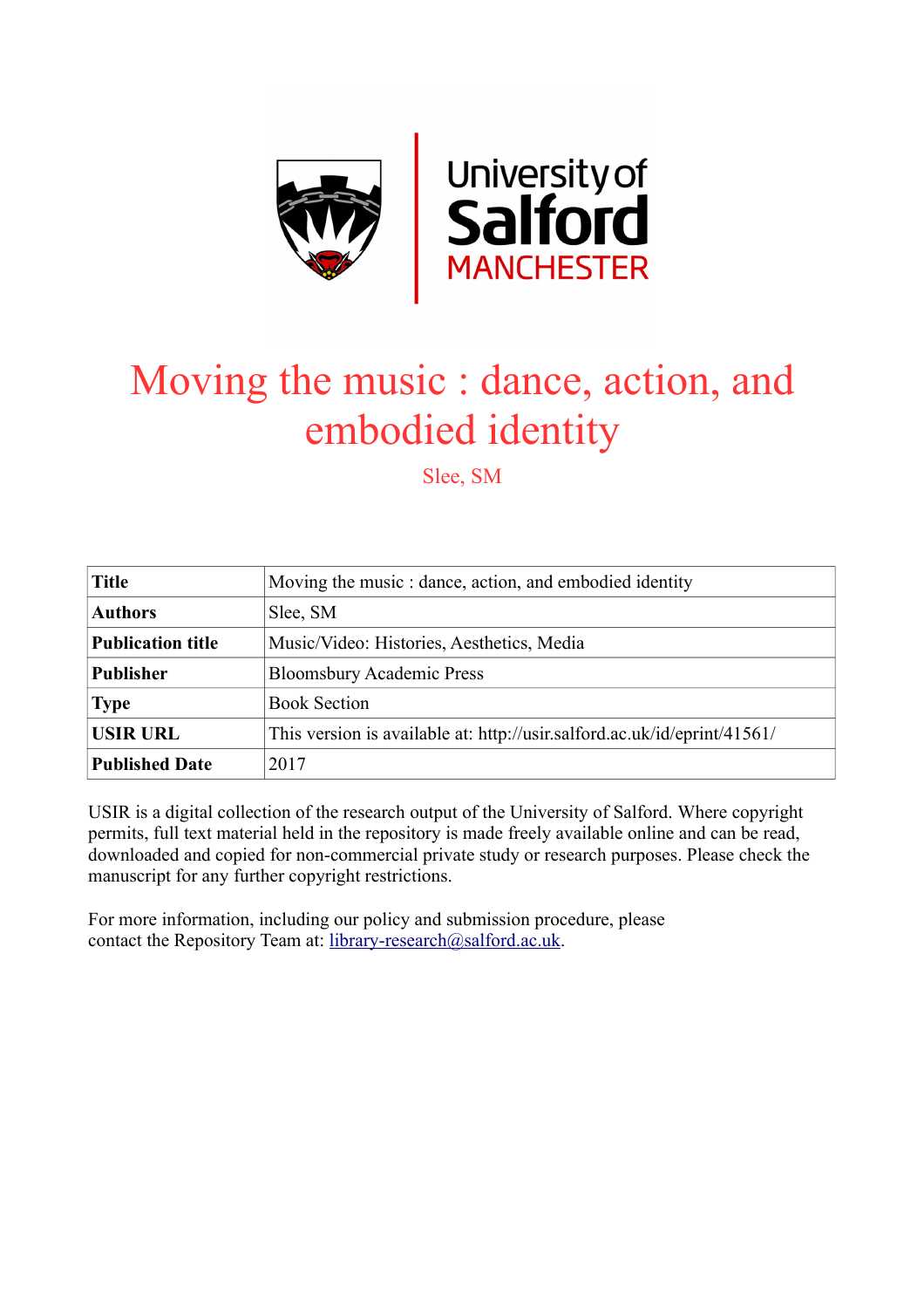

# Moving the music : dance, action, and embodied identity

Slee, SM

| <b>Title</b>             | Moving the music : dance, action, and embodied identity                  |
|--------------------------|--------------------------------------------------------------------------|
| <b>Authors</b>           | Slee, SM                                                                 |
| <b>Publication title</b> | Music/Video: Histories, Aesthetics, Media                                |
| <b>Publisher</b>         | <b>Bloomsbury Academic Press</b>                                         |
| <b>Type</b>              | <b>Book Section</b>                                                      |
| <b>USIR URL</b>          | This version is available at: http://usir.salford.ac.uk/id/eprint/41561/ |
| <b>Published Date</b>    | 2017                                                                     |

USIR is a digital collection of the research output of the University of Salford. Where copyright permits, full text material held in the repository is made freely available online and can be read, downloaded and copied for non-commercial private study or research purposes. Please check the manuscript for any further copyright restrictions.

For more information, including our policy and submission procedure, please contact the Repository Team at: [library-research@salford.ac.uk.](mailto:library-research@salford.ac.uk)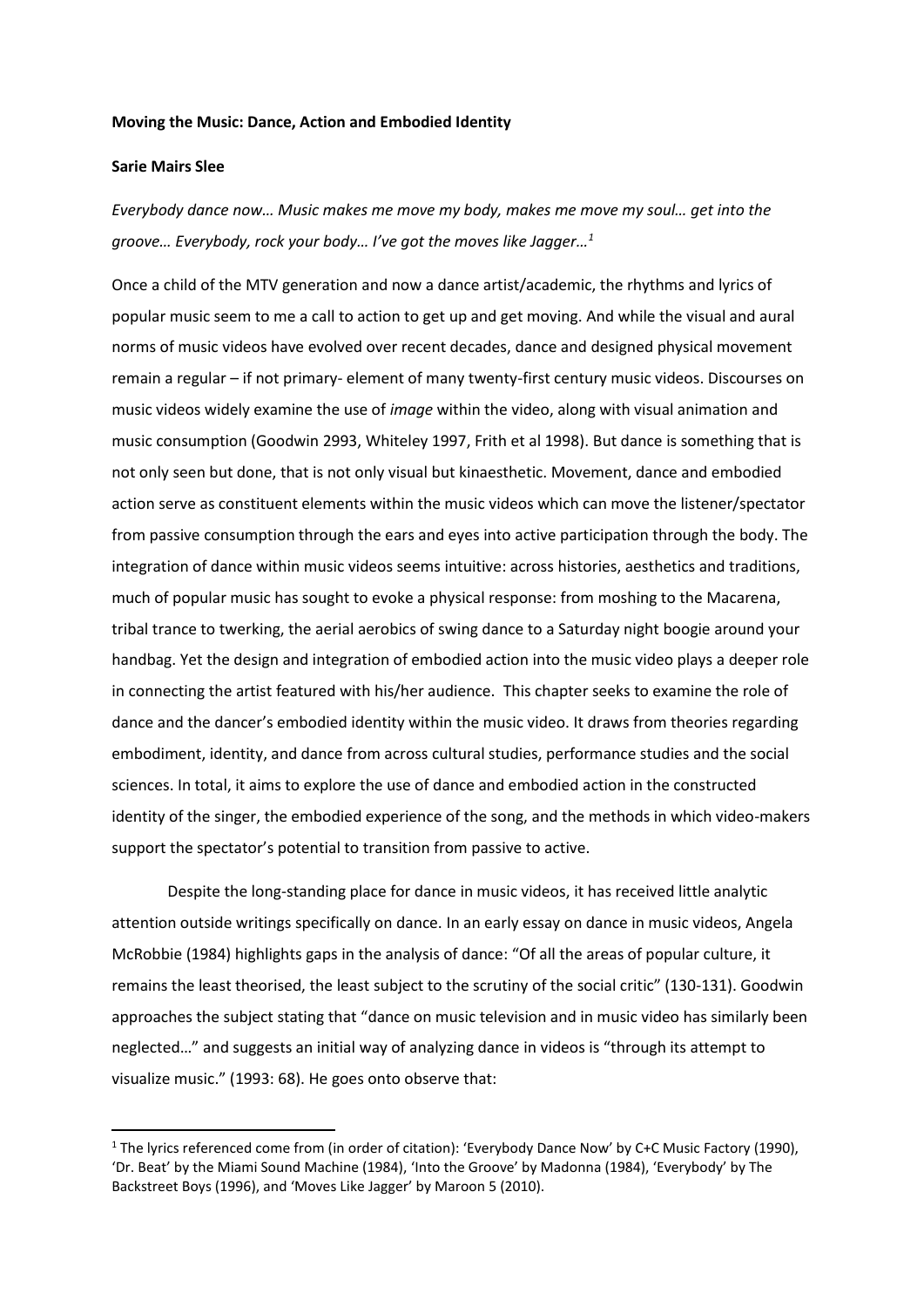#### **Moving the Music: Dance, Action and Embodied Identity**

# **Sarie Mairs Slee**

**.** 

*Everybody dance now… Music makes me move my body, makes me move my soul… get into the groove… Everybody, rock your body… I've got the moves like Jagger…<sup>1</sup>*

Once a child of the MTV generation and now a dance artist/academic, the rhythms and lyrics of popular music seem to me a call to action to get up and get moving. And while the visual and aural norms of music videos have evolved over recent decades, dance and designed physical movement remain a regular – if not primary- element of many twenty-first century music videos. Discourses on music videos widely examine the use of *image* within the video, along with visual animation and music consumption (Goodwin 2993, Whiteley 1997, Frith et al 1998). But dance is something that is not only seen but done, that is not only visual but kinaesthetic. Movement, dance and embodied action serve as constituent elements within the music videos which can move the listener/spectator from passive consumption through the ears and eyes into active participation through the body. The integration of dance within music videos seems intuitive: across histories, aesthetics and traditions, much of popular music has sought to evoke a physical response: from moshing to the Macarena, tribal trance to twerking, the aerial aerobics of swing dance to a Saturday night boogie around your handbag. Yet the design and integration of embodied action into the music video plays a deeper role in connecting the artist featured with his/her audience. This chapter seeks to examine the role of dance and the dancer's embodied identity within the music video. It draws from theories regarding embodiment, identity, and dance from across cultural studies, performance studies and the social sciences. In total, it aims to explore the use of dance and embodied action in the constructed identity of the singer, the embodied experience of the song, and the methods in which video-makers support the spectator's potential to transition from passive to active.

Despite the long-standing place for dance in music videos, it has received little analytic attention outside writings specifically on dance. In an early essay on dance in music videos, Angela McRobbie (1984) highlights gaps in the analysis of dance: "Of all the areas of popular culture, it remains the least theorised, the least subject to the scrutiny of the social critic" (130-131). Goodwin approaches the subject stating that "dance on music television and in music video has similarly been neglected…" and suggests an initial way of analyzing dance in videos is "through its attempt to visualize music." (1993: 68). He goes onto observe that:

<sup>&</sup>lt;sup>1</sup> The lyrics referenced come from (in order of citation): 'Everybody Dance Now' by C+C Music Factory (1990), 'Dr. Beat' by the Miami Sound Machine (1984), 'Into the Groove' by Madonna (1984), 'Everybody' by The Backstreet Boys (1996), and 'Moves Like Jagger' by Maroon 5 (2010).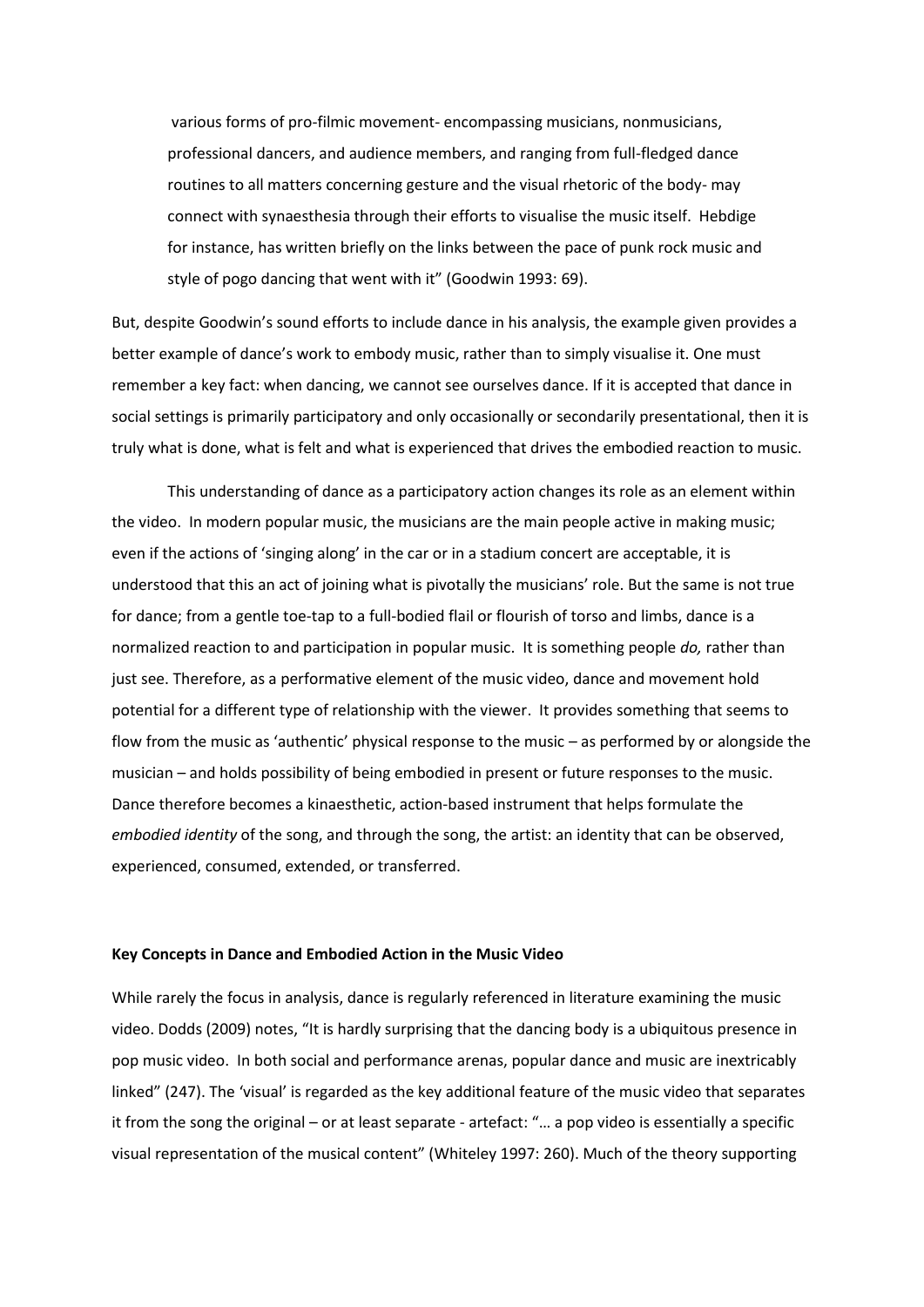various forms of pro-filmic movement- encompassing musicians, nonmusicians, professional dancers, and audience members, and ranging from full-fledged dance routines to all matters concerning gesture and the visual rhetoric of the body- may connect with synaesthesia through their efforts to visualise the music itself. Hebdige for instance, has written briefly on the links between the pace of punk rock music and style of pogo dancing that went with it" (Goodwin 1993: 69).

But, despite Goodwin's sound efforts to include dance in his analysis, the example given provides a better example of dance's work to embody music, rather than to simply visualise it. One must remember a key fact: when dancing, we cannot see ourselves dance. If it is accepted that dance in social settings is primarily participatory and only occasionally or secondarily presentational, then it is truly what is done, what is felt and what is experienced that drives the embodied reaction to music.

This understanding of dance as a participatory action changes its role as an element within the video. In modern popular music, the musicians are the main people active in making music; even if the actions of 'singing along' in the car or in a stadium concert are acceptable, it is understood that this an act of joining what is pivotally the musicians' role. But the same is not true for dance; from a gentle toe-tap to a full-bodied flail or flourish of torso and limbs, dance is a normalized reaction to and participation in popular music. It is something people *do,* rather than just see. Therefore, as a performative element of the music video, dance and movement hold potential for a different type of relationship with the viewer. It provides something that seems to flow from the music as 'authentic' physical response to the music – as performed by or alongside the musician – and holds possibility of being embodied in present or future responses to the music. Dance therefore becomes a kinaesthetic, action-based instrument that helps formulate the *embodied identity* of the song, and through the song, the artist: an identity that can be observed, experienced, consumed, extended, or transferred.

### **Key Concepts in Dance and Embodied Action in the Music Video**

While rarely the focus in analysis, dance is regularly referenced in literature examining the music video. Dodds (2009) notes, "It is hardly surprising that the dancing body is a ubiquitous presence in pop music video. In both social and performance arenas, popular dance and music are inextricably linked" (247). The 'visual' is regarded as the key additional feature of the music video that separates it from the song the original – or at least separate - artefact: "… a pop video is essentially a specific visual representation of the musical content" (Whiteley 1997: 260). Much of the theory supporting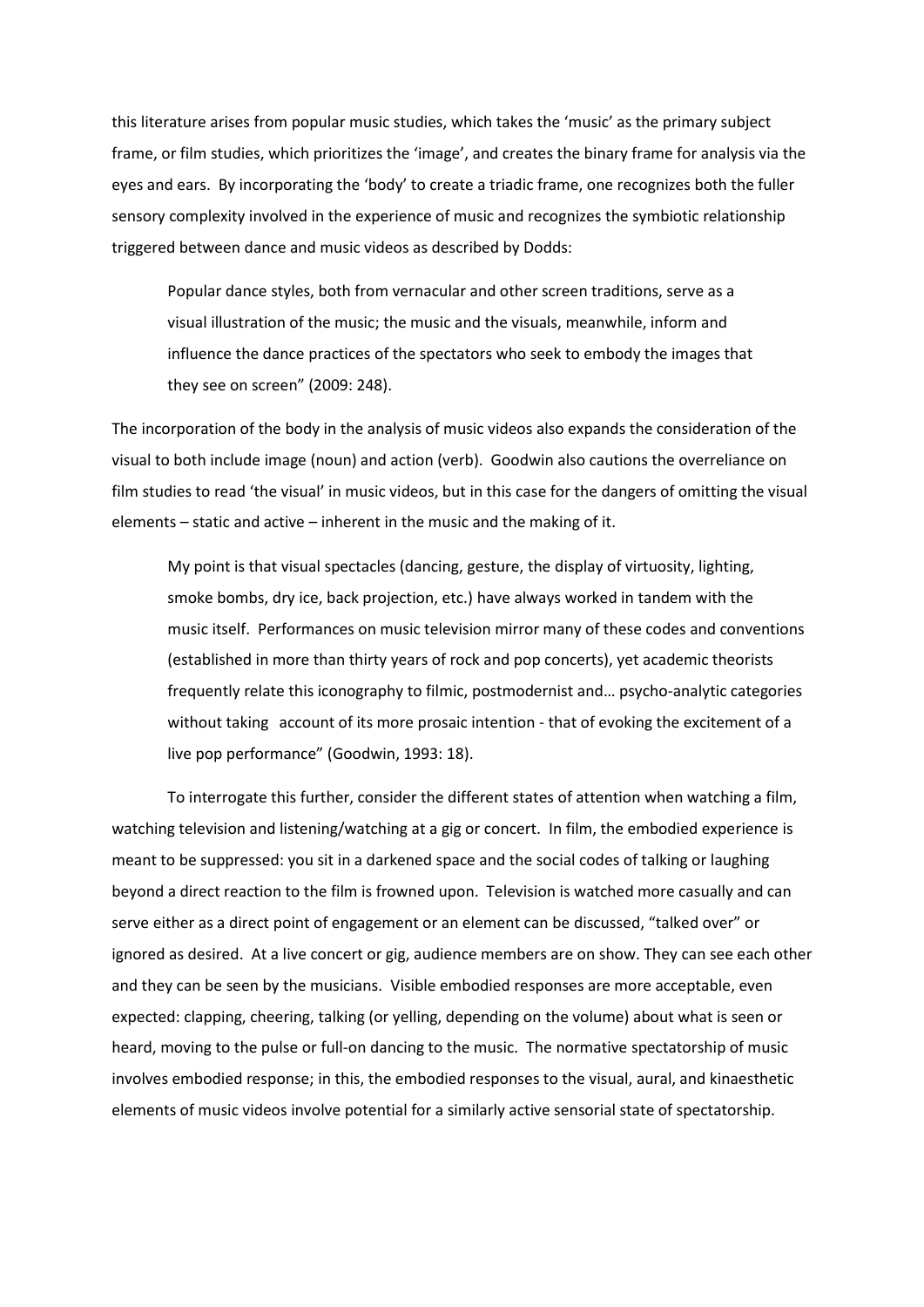this literature arises from popular music studies, which takes the 'music' as the primary subject frame, or film studies, which prioritizes the 'image', and creates the binary frame for analysis via the eyes and ears. By incorporating the 'body' to create a triadic frame, one recognizes both the fuller sensory complexity involved in the experience of music and recognizes the symbiotic relationship triggered between dance and music videos as described by Dodds:

Popular dance styles, both from vernacular and other screen traditions, serve as a visual illustration of the music; the music and the visuals, meanwhile, inform and influence the dance practices of the spectators who seek to embody the images that they see on screen" (2009: 248).

The incorporation of the body in the analysis of music videos also expands the consideration of the visual to both include image (noun) and action (verb). Goodwin also cautions the overreliance on film studies to read 'the visual' in music videos, but in this case for the dangers of omitting the visual elements – static and active – inherent in the music and the making of it.

My point is that visual spectacles (dancing, gesture, the display of virtuosity, lighting, smoke bombs, dry ice, back projection, etc.) have always worked in tandem with the music itself. Performances on music television mirror many of these codes and conventions (established in more than thirty years of rock and pop concerts), yet academic theorists frequently relate this iconography to filmic, postmodernist and… psycho-analytic categories without taking account of its more prosaic intention - that of evoking the excitement of a live pop performance" (Goodwin, 1993: 18).

To interrogate this further, consider the different states of attention when watching a film, watching television and listening/watching at a gig or concert. In film, the embodied experience is meant to be suppressed: you sit in a darkened space and the social codes of talking or laughing beyond a direct reaction to the film is frowned upon. Television is watched more casually and can serve either as a direct point of engagement or an element can be discussed, "talked over" or ignored as desired. At a live concert or gig, audience members are on show. They can see each other and they can be seen by the musicians. Visible embodied responses are more acceptable, even expected: clapping, cheering, talking (or yelling, depending on the volume) about what is seen or heard, moving to the pulse or full-on dancing to the music. The normative spectatorship of music involves embodied response; in this, the embodied responses to the visual, aural, and kinaesthetic elements of music videos involve potential for a similarly active sensorial state of spectatorship.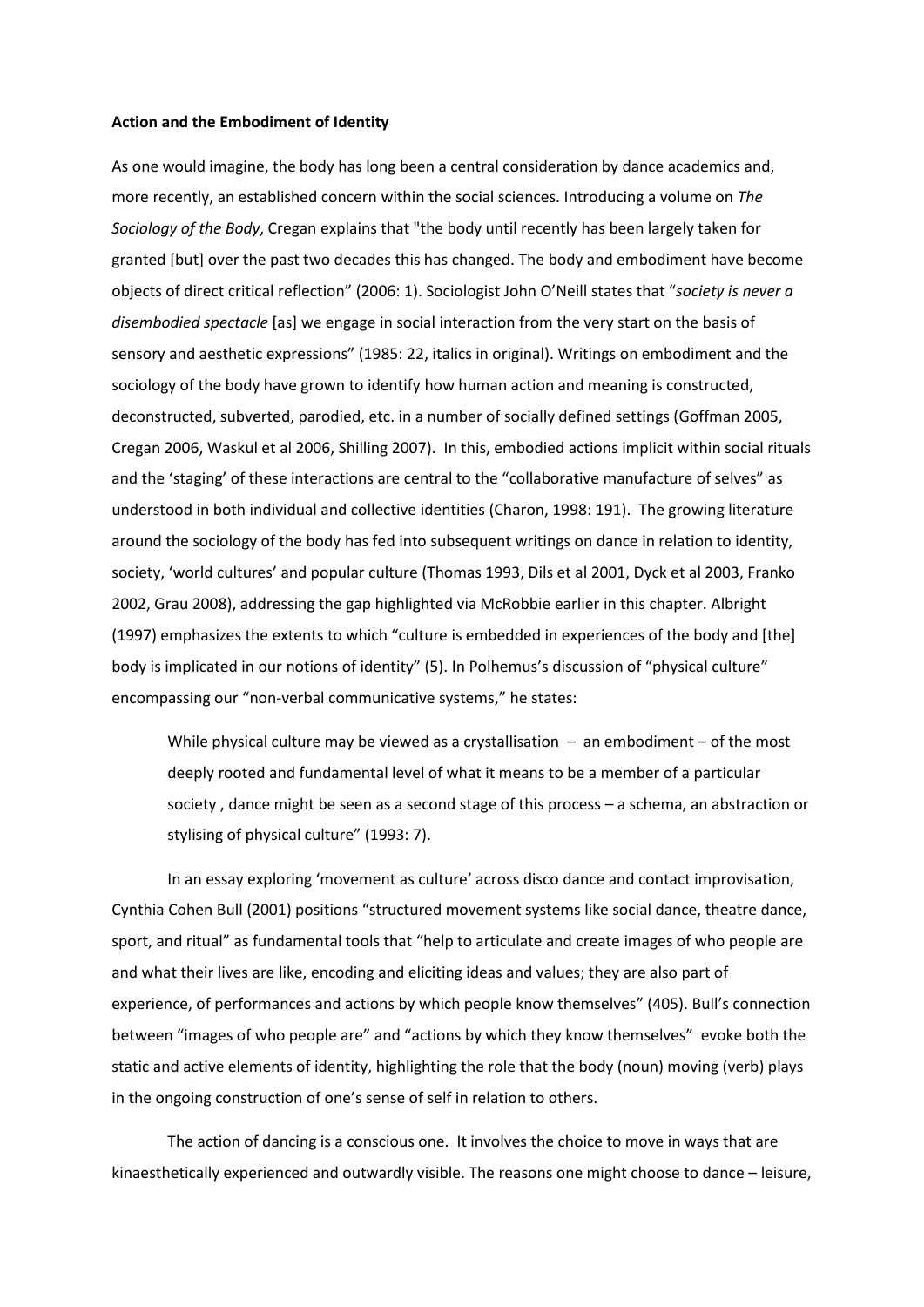## **Action and the Embodiment of Identity**

As one would imagine, the body has long been a central consideration by dance academics and, more recently, an established concern within the social sciences. Introducing a volume on *The Sociology of the Body*, Cregan explains that "the body until recently has been largely taken for granted [but] over the past two decades this has changed. The body and embodiment have become objects of direct critical reflection" (2006: 1). Sociologist John O'Neill states that "*society is never a disembodied spectacle* [as] we engage in social interaction from the very start on the basis of sensory and aesthetic expressions" (1985: 22, italics in original). Writings on embodiment and the sociology of the body have grown to identify how human action and meaning is constructed, deconstructed, subverted, parodied, etc. in a number of socially defined settings (Goffman 2005, Cregan 2006, Waskul et al 2006, Shilling 2007). In this, embodied actions implicit within social rituals and the 'staging' of these interactions are central to the "collaborative manufacture of selves" as understood in both individual and collective identities (Charon, 1998: 191). The growing literature around the sociology of the body has fed into subsequent writings on dance in relation to identity, society, 'world cultures' and popular culture (Thomas 1993, Dils et al 2001, Dyck et al 2003, Franko 2002, Grau 2008), addressing the gap highlighted via McRobbie earlier in this chapter. Albright (1997) emphasizes the extents to which "culture is embedded in experiences of the body and [the] body is implicated in our notions of identity" (5). In Polhemus's discussion of "physical culture" encompassing our "non-verbal communicative systems," he states:

While physical culture may be viewed as a crystallisation  $-$  an embodiment  $-$  of the most deeply rooted and fundamental level of what it means to be a member of a particular society , dance might be seen as a second stage of this process – a schema, an abstraction or stylising of physical culture" (1993: 7).

In an essay exploring 'movement as culture' across disco dance and contact improvisation, Cynthia Cohen Bull (2001) positions "structured movement systems like social dance, theatre dance, sport, and ritual" as fundamental tools that "help to articulate and create images of who people are and what their lives are like, encoding and eliciting ideas and values; they are also part of experience, of performances and actions by which people know themselves" (405). Bull's connection between "images of who people are" and "actions by which they know themselves" evoke both the static and active elements of identity, highlighting the role that the body (noun) moving (verb) plays in the ongoing construction of one's sense of self in relation to others.

The action of dancing is a conscious one. It involves the choice to move in ways that are kinaesthetically experienced and outwardly visible. The reasons one might choose to dance – leisure,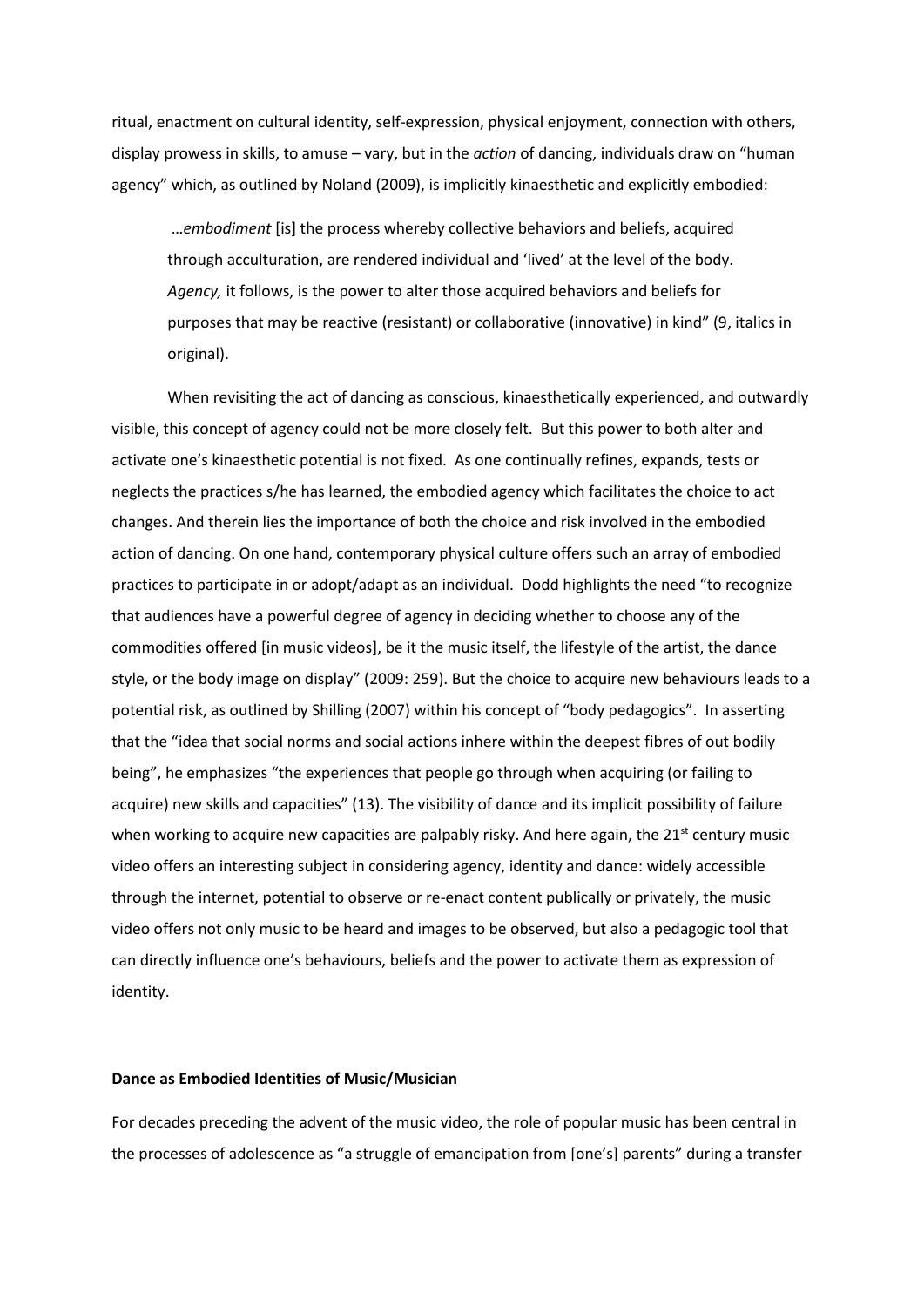ritual, enactment on cultural identity, self-expression, physical enjoyment, connection with others, display prowess in skills, to amuse – vary, but in the *action* of dancing, individuals draw on "human agency" which, as outlined by Noland (2009), is implicitly kinaesthetic and explicitly embodied:

…*embodiment* [is] the process whereby collective behaviors and beliefs, acquired through acculturation, are rendered individual and 'lived' at the level of the body. *Agency,* it follows, is the power to alter those acquired behaviors and beliefs for purposes that may be reactive (resistant) or collaborative (innovative) in kind" (9, italics in original).

When revisiting the act of dancing as conscious, kinaesthetically experienced, and outwardly visible, this concept of agency could not be more closely felt. But this power to both alter and activate one's kinaesthetic potential is not fixed. As one continually refines, expands, tests or neglects the practices s/he has learned, the embodied agency which facilitates the choice to act changes. And therein lies the importance of both the choice and risk involved in the embodied action of dancing. On one hand, contemporary physical culture offers such an array of embodied practices to participate in or adopt/adapt as an individual. Dodd highlights the need "to recognize that audiences have a powerful degree of agency in deciding whether to choose any of the commodities offered [in music videos], be it the music itself, the lifestyle of the artist, the dance style, or the body image on display" (2009: 259). But the choice to acquire new behaviours leads to a potential risk, as outlined by Shilling (2007) within his concept of "body pedagogics". In asserting that the "idea that social norms and social actions inhere within the deepest fibres of out bodily being", he emphasizes "the experiences that people go through when acquiring (or failing to acquire) new skills and capacities" (13). The visibility of dance and its implicit possibility of failure when working to acquire new capacities are palpably risky. And here again, the  $21<sup>st</sup>$  century music video offers an interesting subject in considering agency, identity and dance: widely accessible through the internet, potential to observe or re-enact content publically or privately, the music video offers not only music to be heard and images to be observed, but also a pedagogic tool that can directly influence one's behaviours, beliefs and the power to activate them as expression of identity.

## **Dance as Embodied Identities of Music/Musician**

For decades preceding the advent of the music video, the role of popular music has been central in the processes of adolescence as "a struggle of emancipation from [one's] parents" during a transfer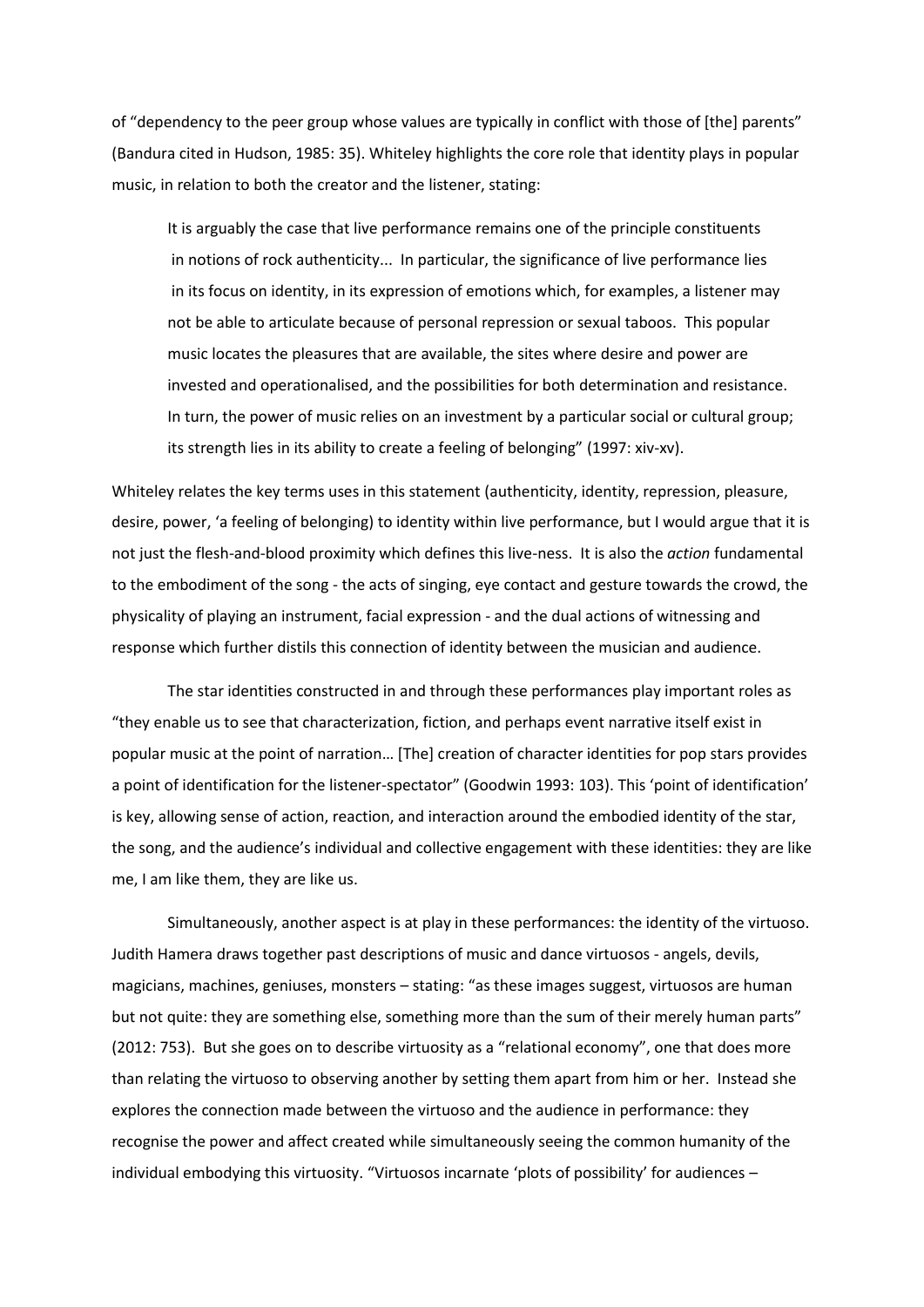of "dependency to the peer group whose values are typically in conflict with those of [the] parents" (Bandura cited in Hudson, 1985: 35). Whiteley highlights the core role that identity plays in popular music, in relation to both the creator and the listener, stating:

It is arguably the case that live performance remains one of the principle constituents in notions of rock authenticity... In particular, the significance of live performance lies in its focus on identity, in its expression of emotions which, for examples, a listener may not be able to articulate because of personal repression or sexual taboos. This popular music locates the pleasures that are available, the sites where desire and power are invested and operationalised, and the possibilities for both determination and resistance. In turn, the power of music relies on an investment by a particular social or cultural group; its strength lies in its ability to create a feeling of belonging" (1997: xiv-xv).

Whiteley relates the key terms uses in this statement (authenticity, identity, repression, pleasure, desire, power, 'a feeling of belonging) to identity within live performance, but I would argue that it is not just the flesh-and-blood proximity which defines this live-ness. It is also the *action* fundamental to the embodiment of the song - the acts of singing, eye contact and gesture towards the crowd, the physicality of playing an instrument, facial expression - and the dual actions of witnessing and response which further distils this connection of identity between the musician and audience.

The star identities constructed in and through these performances play important roles as "they enable us to see that characterization, fiction, and perhaps event narrative itself exist in popular music at the point of narration… [The] creation of character identities for pop stars provides a point of identification for the listener-spectator" (Goodwin 1993: 103). This 'point of identification' is key, allowing sense of action, reaction, and interaction around the embodied identity of the star, the song, and the audience's individual and collective engagement with these identities: they are like me, I am like them, they are like us.

Simultaneously, another aspect is at play in these performances: the identity of the virtuoso. Judith Hamera draws together past descriptions of music and dance virtuosos - angels, devils, magicians, machines, geniuses, monsters – stating: "as these images suggest, virtuosos are human but not quite: they are something else, something more than the sum of their merely human parts" (2012: 753). But she goes on to describe virtuosity as a "relational economy", one that does more than relating the virtuoso to observing another by setting them apart from him or her. Instead she explores the connection made between the virtuoso and the audience in performance: they recognise the power and affect created while simultaneously seeing the common humanity of the individual embodying this virtuosity. "Virtuosos incarnate 'plots of possibility' for audiences –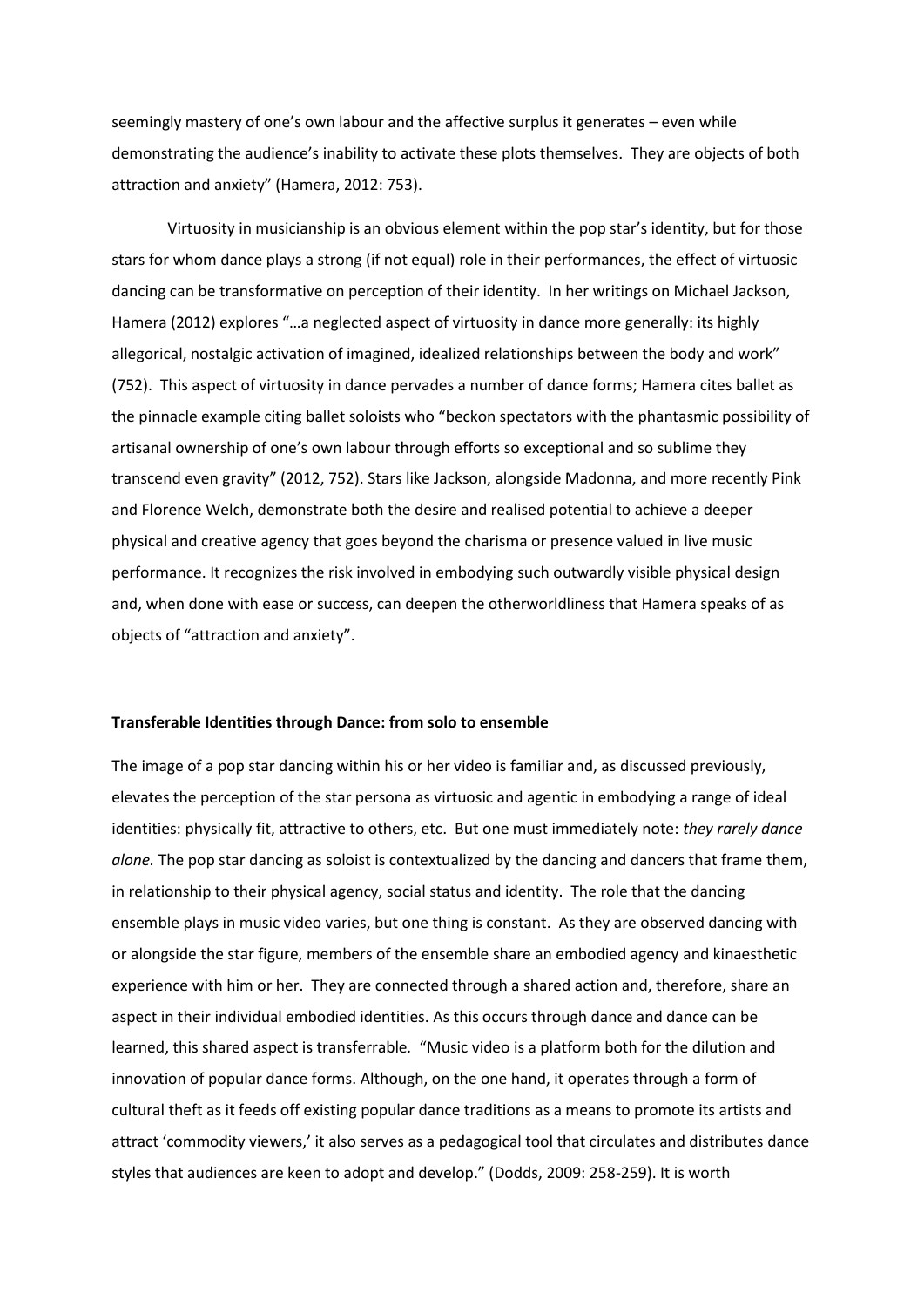seemingly mastery of one's own labour and the affective surplus it generates – even while demonstrating the audience's inability to activate these plots themselves. They are objects of both attraction and anxiety" (Hamera, 2012: 753).

Virtuosity in musicianship is an obvious element within the pop star's identity, but for those stars for whom dance plays a strong (if not equal) role in their performances, the effect of virtuosic dancing can be transformative on perception of their identity. In her writings on Michael Jackson, Hamera (2012) explores "…a neglected aspect of virtuosity in dance more generally: its highly allegorical, nostalgic activation of imagined, idealized relationships between the body and work" (752). This aspect of virtuosity in dance pervades a number of dance forms; Hamera cites ballet as the pinnacle example citing ballet soloists who "beckon spectators with the phantasmic possibility of artisanal ownership of one's own labour through efforts so exceptional and so sublime they transcend even gravity" (2012, 752). Stars like Jackson, alongside Madonna, and more recently Pink and Florence Welch, demonstrate both the desire and realised potential to achieve a deeper physical and creative agency that goes beyond the charisma or presence valued in live music performance. It recognizes the risk involved in embodying such outwardly visible physical design and, when done with ease or success, can deepen the otherworldliness that Hamera speaks of as objects of "attraction and anxiety".

#### **Transferable Identities through Dance: from solo to ensemble**

The image of a pop star dancing within his or her video is familiar and, as discussed previously, elevates the perception of the star persona as virtuosic and agentic in embodying a range of ideal identities: physically fit, attractive to others, etc. But one must immediately note: *they rarely dance alone.* The pop star dancing as soloist is contextualized by the dancing and dancers that frame them, in relationship to their physical agency, social status and identity. The role that the dancing ensemble plays in music video varies, but one thing is constant. As they are observed dancing with or alongside the star figure, members of the ensemble share an embodied agency and kinaesthetic experience with him or her. They are connected through a shared action and, therefore, share an aspect in their individual embodied identities. As this occurs through dance and dance can be learned, this shared aspect is transferrable*.* "Music video is a platform both for the dilution and innovation of popular dance forms. Although, on the one hand, it operates through a form of cultural theft as it feeds off existing popular dance traditions as a means to promote its artists and attract 'commodity viewers,' it also serves as a pedagogical tool that circulates and distributes dance styles that audiences are keen to adopt and develop." (Dodds, 2009: 258-259). It is worth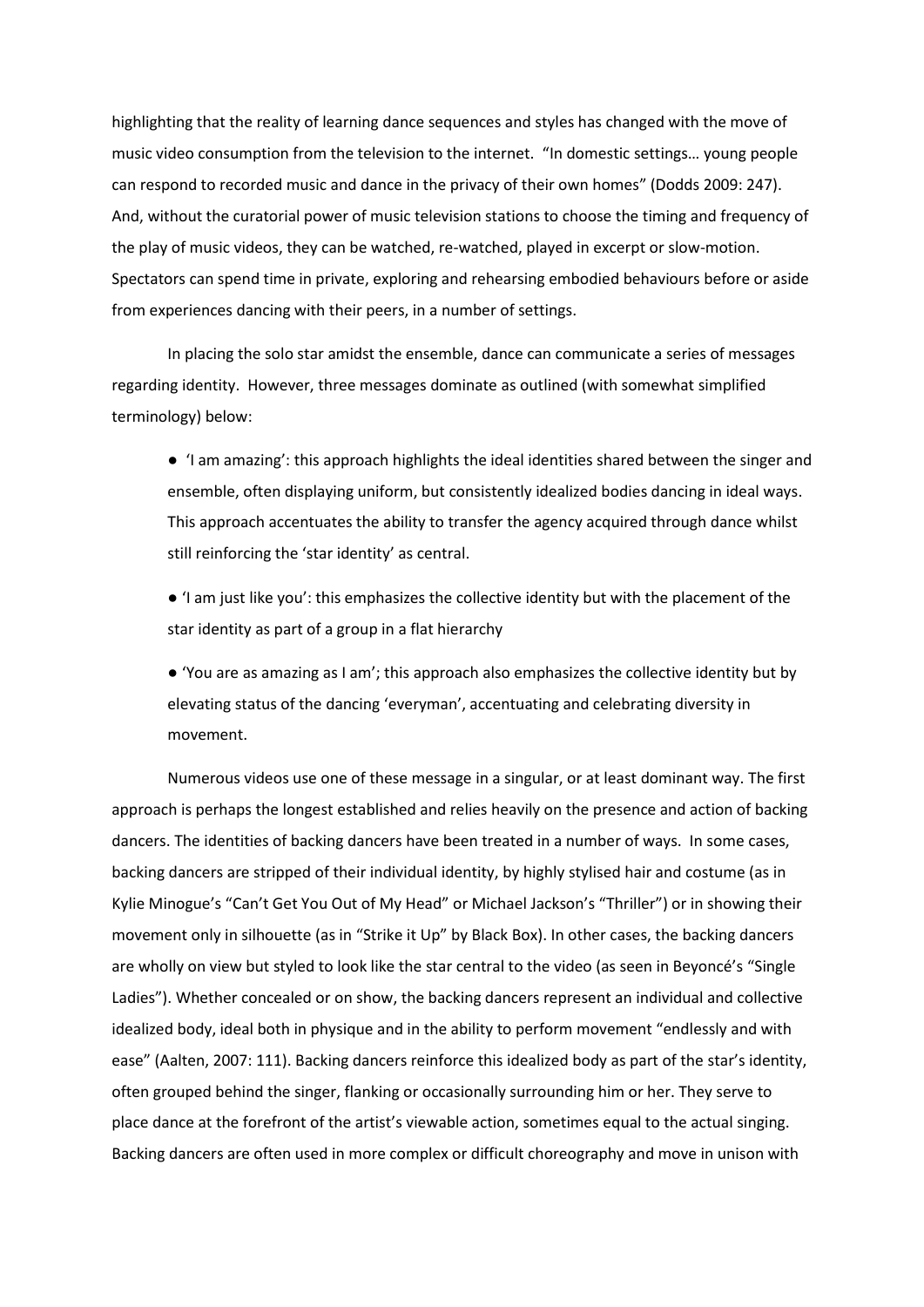highlighting that the reality of learning dance sequences and styles has changed with the move of music video consumption from the television to the internet. "In domestic settings… young people can respond to recorded music and dance in the privacy of their own homes" (Dodds 2009: 247). And, without the curatorial power of music television stations to choose the timing and frequency of the play of music videos, they can be watched, re-watched, played in excerpt or slow-motion. Spectators can spend time in private, exploring and rehearsing embodied behaviours before or aside from experiences dancing with their peers, in a number of settings.

In placing the solo star amidst the ensemble, dance can communicate a series of messages regarding identity. However, three messages dominate as outlined (with somewhat simplified terminology) below:

● 'I am amazing': this approach highlights the ideal identities shared between the singer and ensemble, often displaying uniform, but consistently idealized bodies dancing in ideal ways. This approach accentuates the ability to transfer the agency acquired through dance whilst still reinforcing the 'star identity' as central.

● 'I am just like you': this emphasizes the collective identity but with the placement of the star identity as part of a group in a flat hierarchy

● 'You are as amazing as I am'; this approach also emphasizes the collective identity but by elevating status of the dancing 'everyman', accentuating and celebrating diversity in movement.

Numerous videos use one of these message in a singular, or at least dominant way. The first approach is perhaps the longest established and relies heavily on the presence and action of backing dancers. The identities of backing dancers have been treated in a number of ways. In some cases, backing dancers are stripped of their individual identity, by highly stylised hair and costume (as in Kylie Minogue's "Can't Get You Out of My Head" or Michael Jackson's "Thriller") or in showing their movement only in silhouette (as in "Strike it Up" by Black Box). In other cases, the backing dancers are wholly on view but styled to look like the star central to the video (as seen in Beyoncé's "Single Ladies"). Whether concealed or on show, the backing dancers represent an individual and collective idealized body, ideal both in physique and in the ability to perform movement "endlessly and with ease" (Aalten, 2007: 111). Backing dancers reinforce this idealized body as part of the star's identity, often grouped behind the singer, flanking or occasionally surrounding him or her. They serve to place dance at the forefront of the artist's viewable action, sometimes equal to the actual singing. Backing dancers are often used in more complex or difficult choreography and move in unison with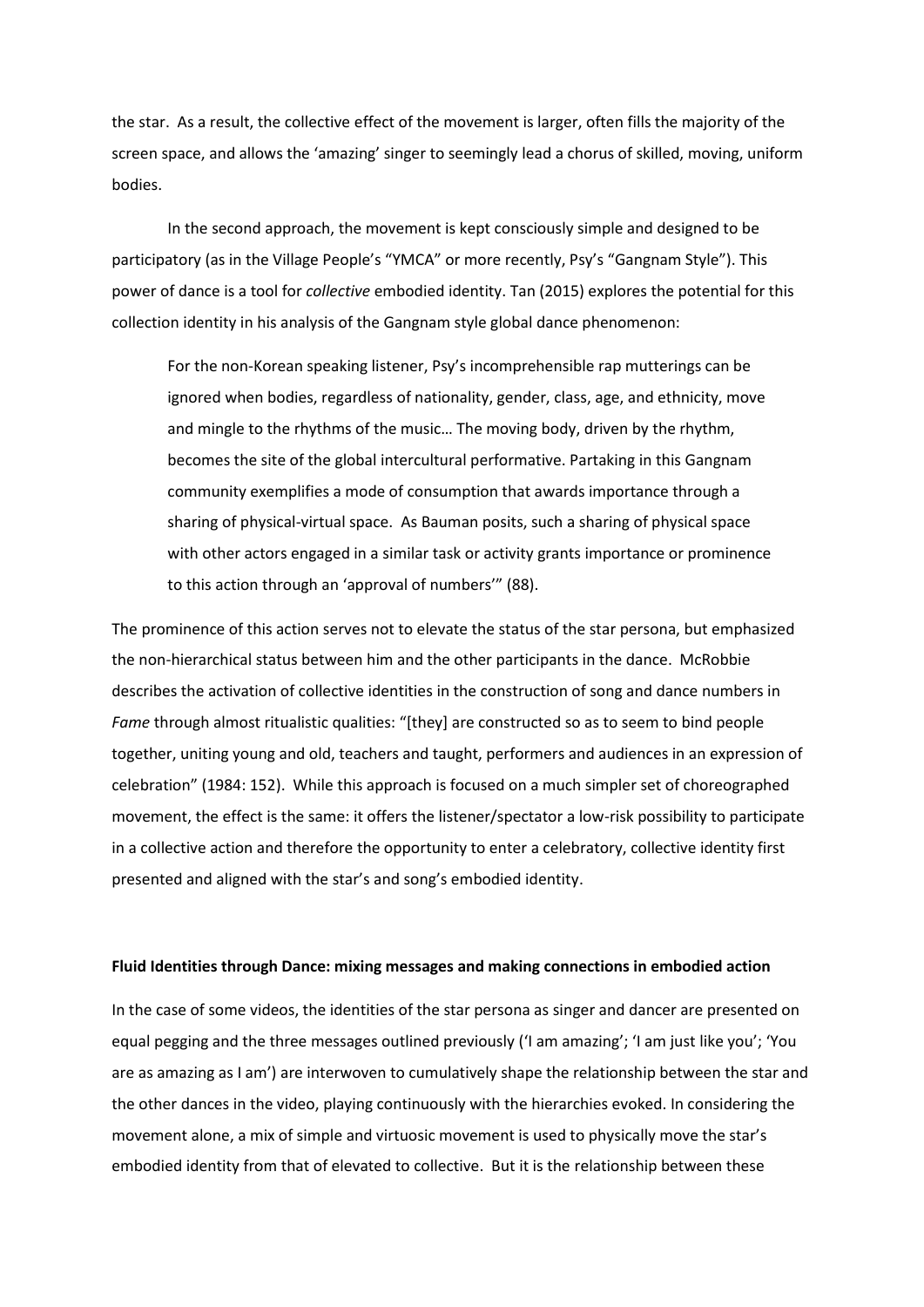the star. As a result, the collective effect of the movement is larger, often fills the majority of the screen space, and allows the 'amazing' singer to seemingly lead a chorus of skilled, moving, uniform bodies.

In the second approach, the movement is kept consciously simple and designed to be participatory (as in the Village People's "YMCA" or more recently, Psy's "Gangnam Style"). This power of dance is a tool for *collective* embodied identity. Tan (2015) explores the potential for this collection identity in his analysis of the Gangnam style global dance phenomenon:

For the non-Korean speaking listener, Psy's incomprehensible rap mutterings can be ignored when bodies, regardless of nationality, gender, class, age, and ethnicity, move and mingle to the rhythms of the music… The moving body, driven by the rhythm, becomes the site of the global intercultural performative. Partaking in this Gangnam community exemplifies a mode of consumption that awards importance through a sharing of physical-virtual space. As Bauman posits, such a sharing of physical space with other actors engaged in a similar task or activity grants importance or prominence to this action through an 'approval of numbers'" (88).

The prominence of this action serves not to elevate the status of the star persona, but emphasized the non-hierarchical status between him and the other participants in the dance. McRobbie describes the activation of collective identities in the construction of song and dance numbers in *Fame* through almost ritualistic qualities: "[they] are constructed so as to seem to bind people together, uniting young and old, teachers and taught, performers and audiences in an expression of celebration" (1984: 152). While this approach is focused on a much simpler set of choreographed movement, the effect is the same: it offers the listener/spectator a low-risk possibility to participate in a collective action and therefore the opportunity to enter a celebratory, collective identity first presented and aligned with the star's and song's embodied identity.

#### **Fluid Identities through Dance: mixing messages and making connections in embodied action**

In the case of some videos, the identities of the star persona as singer and dancer are presented on equal pegging and the three messages outlined previously ('I am amazing'; 'I am just like you'; 'You are as amazing as I am') are interwoven to cumulatively shape the relationship between the star and the other dances in the video, playing continuously with the hierarchies evoked. In considering the movement alone, a mix of simple and virtuosic movement is used to physically move the star's embodied identity from that of elevated to collective. But it is the relationship between these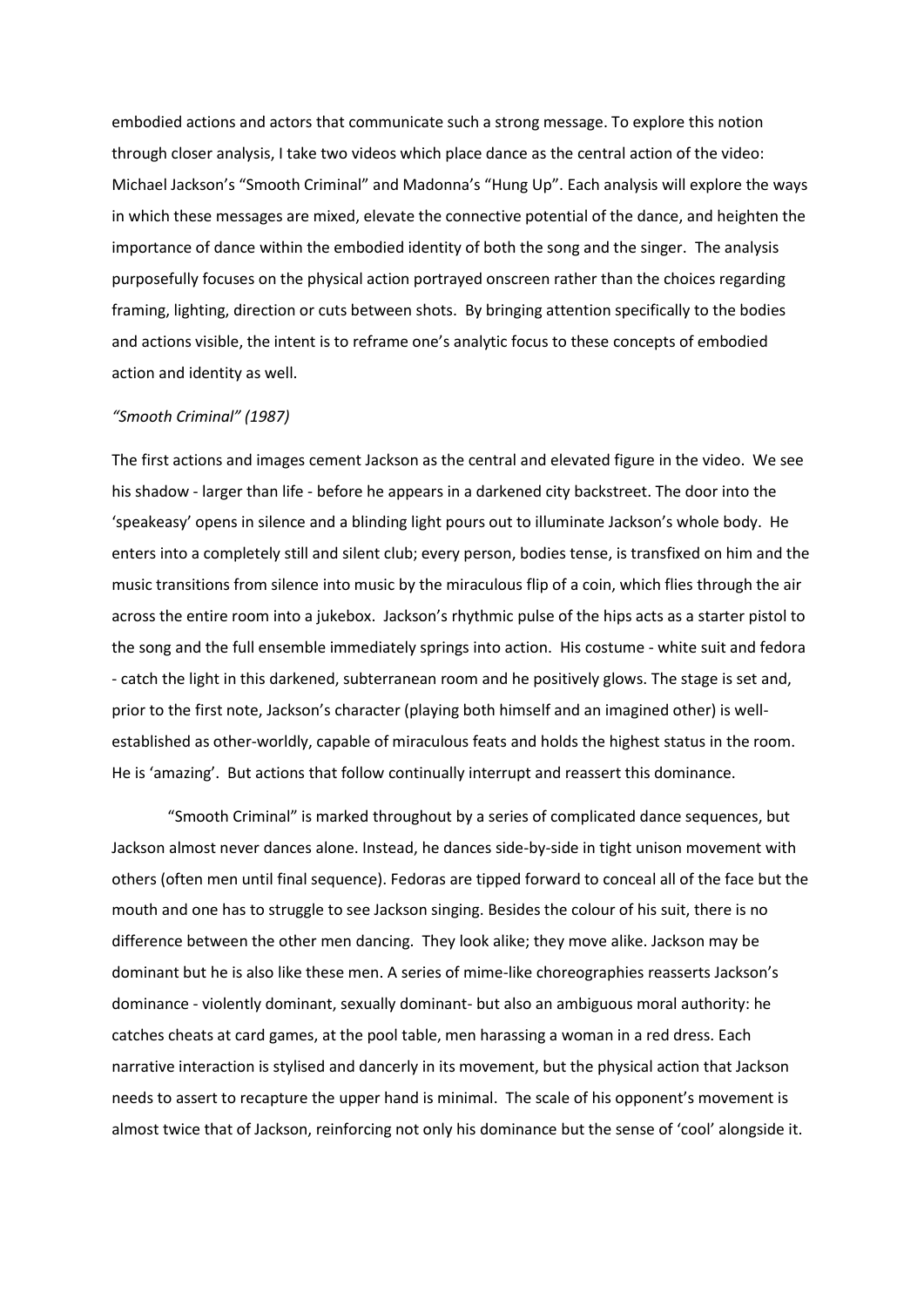embodied actions and actors that communicate such a strong message. To explore this notion through closer analysis, I take two videos which place dance as the central action of the video: Michael Jackson's "Smooth Criminal" and Madonna's "Hung Up". Each analysis will explore the ways in which these messages are mixed, elevate the connective potential of the dance, and heighten the importance of dance within the embodied identity of both the song and the singer. The analysis purposefully focuses on the physical action portrayed onscreen rather than the choices regarding framing, lighting, direction or cuts between shots. By bringing attention specifically to the bodies and actions visible, the intent is to reframe one's analytic focus to these concepts of embodied action and identity as well.

## *"Smooth Criminal" (1987)*

The first actions and images cement Jackson as the central and elevated figure in the video. We see his shadow - larger than life - before he appears in a darkened city backstreet. The door into the 'speakeasy' opens in silence and a blinding light pours out to illuminate Jackson's whole body. He enters into a completely still and silent club; every person, bodies tense, is transfixed on him and the music transitions from silence into music by the miraculous flip of a coin, which flies through the air across the entire room into a jukebox. Jackson's rhythmic pulse of the hips acts as a starter pistol to the song and the full ensemble immediately springs into action. His costume - white suit and fedora - catch the light in this darkened, subterranean room and he positively glows. The stage is set and, prior to the first note, Jackson's character (playing both himself and an imagined other) is wellestablished as other-worldly, capable of miraculous feats and holds the highest status in the room. He is 'amazing'. But actions that follow continually interrupt and reassert this dominance.

"Smooth Criminal" is marked throughout by a series of complicated dance sequences, but Jackson almost never dances alone. Instead, he dances side-by-side in tight unison movement with others (often men until final sequence). Fedoras are tipped forward to conceal all of the face but the mouth and one has to struggle to see Jackson singing. Besides the colour of his suit, there is no difference between the other men dancing. They look alike; they move alike. Jackson may be dominant but he is also like these men. A series of mime-like choreographies reasserts Jackson's dominance - violently dominant, sexually dominant- but also an ambiguous moral authority: he catches cheats at card games, at the pool table, men harassing a woman in a red dress. Each narrative interaction is stylised and dancerly in its movement, but the physical action that Jackson needs to assert to recapture the upper hand is minimal. The scale of his opponent's movement is almost twice that of Jackson, reinforcing not only his dominance but the sense of 'cool' alongside it.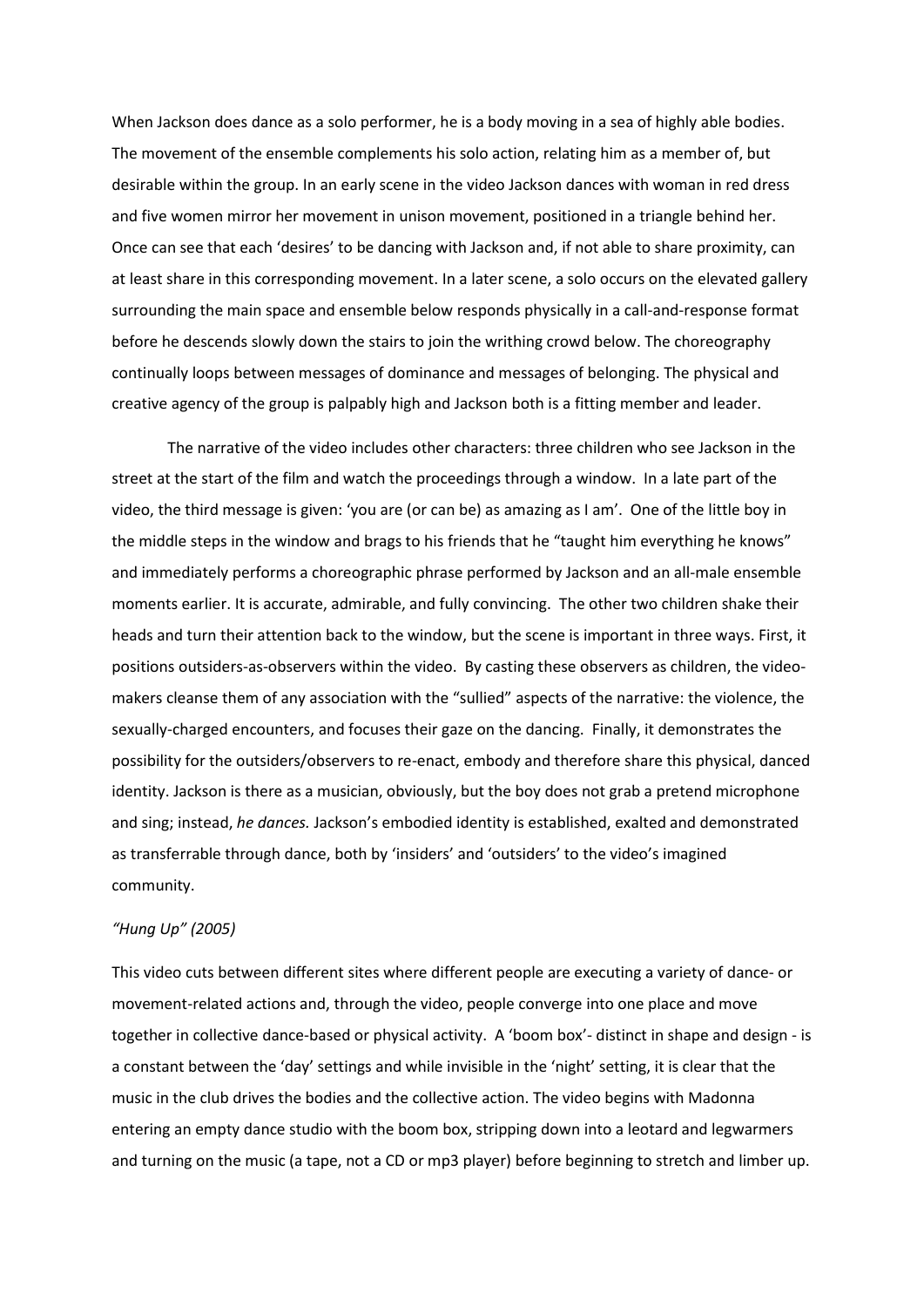When Jackson does dance as a solo performer, he is a body moving in a sea of highly able bodies. The movement of the ensemble complements his solo action, relating him as a member of, but desirable within the group. In an early scene in the video Jackson dances with woman in red dress and five women mirror her movement in unison movement, positioned in a triangle behind her. Once can see that each 'desires' to be dancing with Jackson and, if not able to share proximity, can at least share in this corresponding movement. In a later scene, a solo occurs on the elevated gallery surrounding the main space and ensemble below responds physically in a call-and-response format before he descends slowly down the stairs to join the writhing crowd below. The choreography continually loops between messages of dominance and messages of belonging. The physical and creative agency of the group is palpably high and Jackson both is a fitting member and leader.

The narrative of the video includes other characters: three children who see Jackson in the street at the start of the film and watch the proceedings through a window. In a late part of the video, the third message is given: 'you are (or can be) as amazing as I am'. One of the little boy in the middle steps in the window and brags to his friends that he "taught him everything he knows" and immediately performs a choreographic phrase performed by Jackson and an all-male ensemble moments earlier. It is accurate, admirable, and fully convincing. The other two children shake their heads and turn their attention back to the window, but the scene is important in three ways. First, it positions outsiders-as-observers within the video. By casting these observers as children, the videomakers cleanse them of any association with the "sullied" aspects of the narrative: the violence, the sexually-charged encounters, and focuses their gaze on the dancing. Finally, it demonstrates the possibility for the outsiders/observers to re-enact, embody and therefore share this physical, danced identity. Jackson is there as a musician, obviously, but the boy does not grab a pretend microphone and sing; instead, *he dances.* Jackson's embodied identity is established, exalted and demonstrated as transferrable through dance, both by 'insiders' and 'outsiders' to the video's imagined community.

# *"Hung Up" (2005)*

This video cuts between different sites where different people are executing a variety of dance- or movement-related actions and, through the video, people converge into one place and move together in collective dance-based or physical activity. A 'boom box'- distinct in shape and design - is a constant between the 'day' settings and while invisible in the 'night' setting, it is clear that the music in the club drives the bodies and the collective action. The video begins with Madonna entering an empty dance studio with the boom box, stripping down into a leotard and legwarmers and turning on the music (a tape, not a CD or mp3 player) before beginning to stretch and limber up.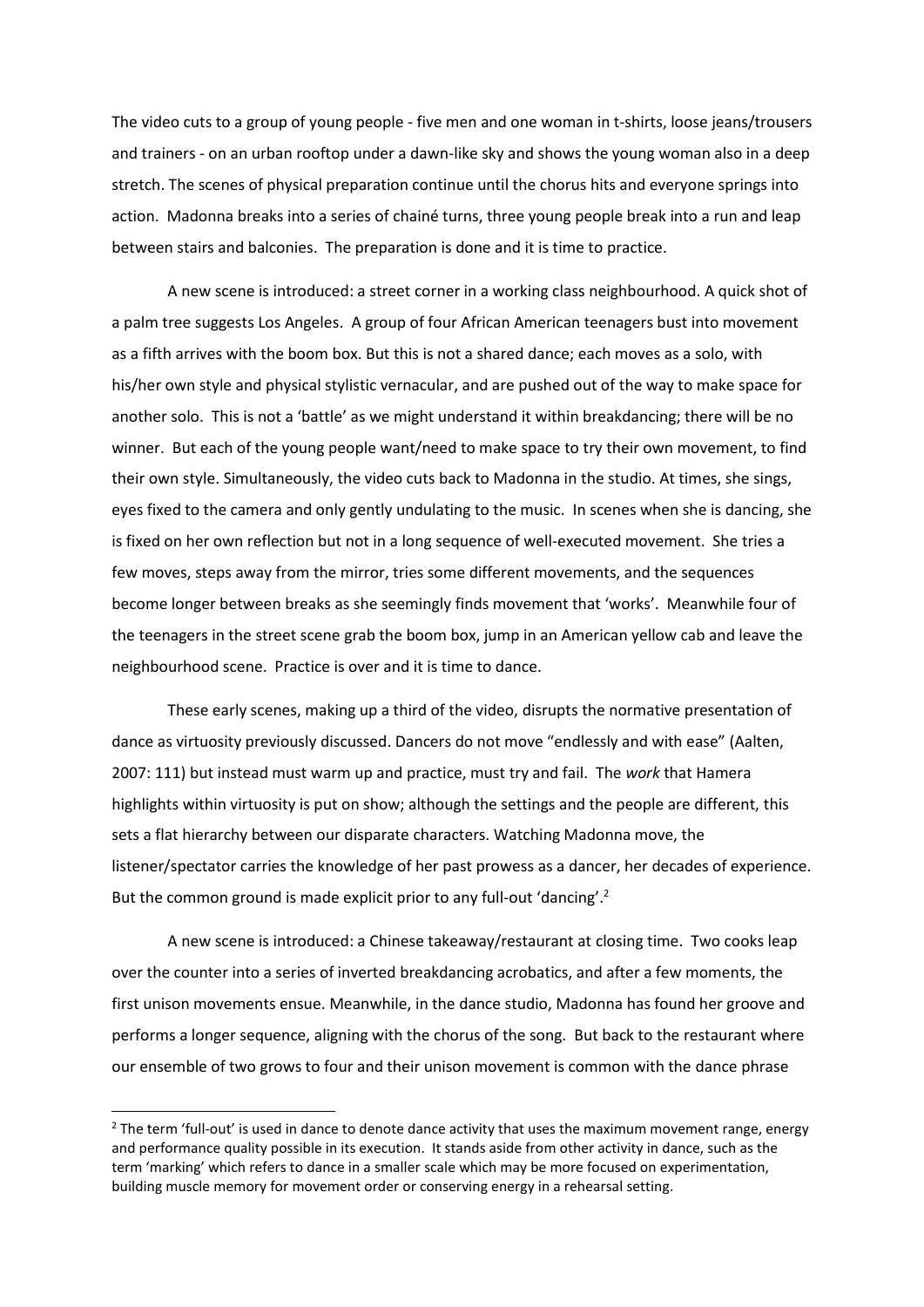The video cuts to a group of young people - five men and one woman in t-shirts, loose jeans/trousers and trainers - on an urban rooftop under a dawn-like sky and shows the young woman also in a deep stretch. The scenes of physical preparation continue until the chorus hits and everyone springs into action. Madonna breaks into a series of chainé turns, three young people break into a run and leap between stairs and balconies. The preparation is done and it is time to practice.

A new scene is introduced: a street corner in a working class neighbourhood. A quick shot of a palm tree suggests Los Angeles. A group of four African American teenagers bust into movement as a fifth arrives with the boom box. But this is not a shared dance; each moves as a solo, with his/her own style and physical stylistic vernacular, and are pushed out of the way to make space for another solo. This is not a 'battle' as we might understand it within breakdancing; there will be no winner. But each of the young people want/need to make space to try their own movement, to find their own style. Simultaneously, the video cuts back to Madonna in the studio. At times, she sings, eyes fixed to the camera and only gently undulating to the music. In scenes when she is dancing, she is fixed on her own reflection but not in a long sequence of well-executed movement. She tries a few moves, steps away from the mirror, tries some different movements, and the sequences become longer between breaks as she seemingly finds movement that 'works'. Meanwhile four of the teenagers in the street scene grab the boom box, jump in an American yellow cab and leave the neighbourhood scene. Practice is over and it is time to dance.

These early scenes, making up a third of the video, disrupts the normative presentation of dance as virtuosity previously discussed. Dancers do not move "endlessly and with ease" (Aalten, 2007: 111) but instead must warm up and practice, must try and fail. The *work* that Hamera highlights within virtuosity is put on show; although the settings and the people are different, this sets a flat hierarchy between our disparate characters. Watching Madonna move, the listener/spectator carries the knowledge of her past prowess as a dancer, her decades of experience. But the common ground is made explicit prior to any full-out 'dancing'.<sup>2</sup>

A new scene is introduced: a Chinese takeaway/restaurant at closing time. Two cooks leap over the counter into a series of inverted breakdancing acrobatics, and after a few moments, the first unison movements ensue. Meanwhile, in the dance studio, Madonna has found her groove and performs a longer sequence, aligning with the chorus of the song. But back to the restaurant where our ensemble of two grows to four and their unison movement is common with the dance phrase

1

 $2$  The term 'full-out' is used in dance to denote dance activity that uses the maximum movement range, energy and performance quality possible in its execution. It stands aside from other activity in dance, such as the term 'marking' which refers to dance in a smaller scale which may be more focused on experimentation, building muscle memory for movement order or conserving energy in a rehearsal setting.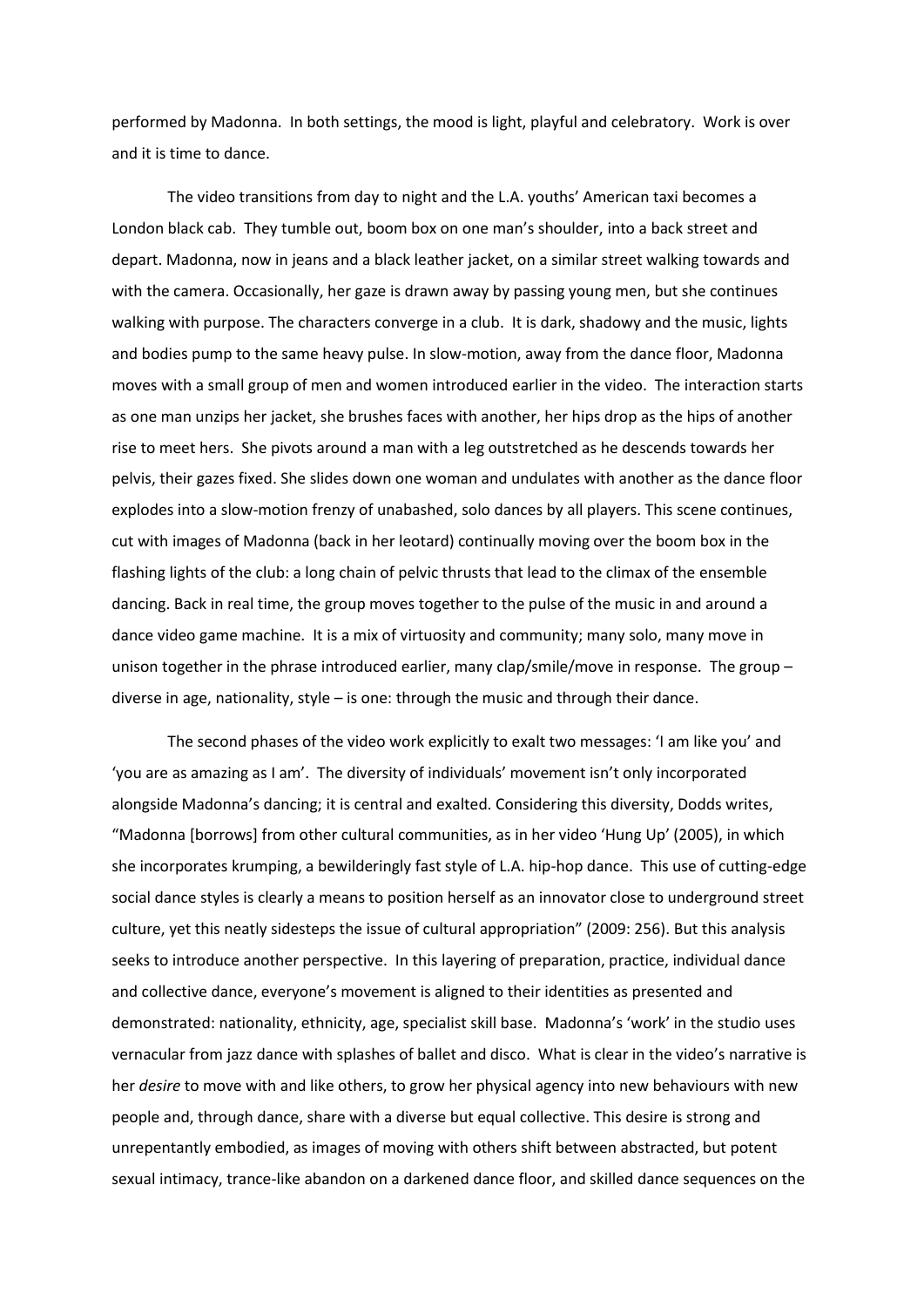performed by Madonna. In both settings, the mood is light, playful and celebratory. Work is over and it is time to dance.

The video transitions from day to night and the L.A. youths' American taxi becomes a London black cab. They tumble out, boom box on one man's shoulder, into a back street and depart. Madonna, now in jeans and a black leather jacket, on a similar street walking towards and with the camera. Occasionally, her gaze is drawn away by passing young men, but she continues walking with purpose. The characters converge in a club. It is dark, shadowy and the music, lights and bodies pump to the same heavy pulse. In slow-motion, away from the dance floor, Madonna moves with a small group of men and women introduced earlier in the video. The interaction starts as one man unzips her jacket, she brushes faces with another, her hips drop as the hips of another rise to meet hers. She pivots around a man with a leg outstretched as he descends towards her pelvis, their gazes fixed. She slides down one woman and undulates with another as the dance floor explodes into a slow-motion frenzy of unabashed, solo dances by all players. This scene continues, cut with images of Madonna (back in her leotard) continually moving over the boom box in the flashing lights of the club: a long chain of pelvic thrusts that lead to the climax of the ensemble dancing. Back in real time, the group moves together to the pulse of the music in and around a dance video game machine. It is a mix of virtuosity and community; many solo, many move in unison together in the phrase introduced earlier, many clap/smile/move in response. The group – diverse in age, nationality, style – is one: through the music and through their dance.

The second phases of the video work explicitly to exalt two messages: 'I am like you' and 'you are as amazing as I am'. The diversity of individuals' movement isn't only incorporated alongside Madonna's dancing; it is central and exalted. Considering this diversity, Dodds writes, "Madonna [borrows] from other cultural communities, as in her video 'Hung Up' (2005), in which she incorporates krumping, a bewilderingly fast style of L.A. hip-hop dance. This use of cutting-edge social dance styles is clearly a means to position herself as an innovator close to underground street culture, yet this neatly sidesteps the issue of cultural appropriation" (2009: 256). But this analysis seeks to introduce another perspective. In this layering of preparation, practice, individual dance and collective dance, everyone's movement is aligned to their identities as presented and demonstrated: nationality, ethnicity, age, specialist skill base. Madonna's 'work' in the studio uses vernacular from jazz dance with splashes of ballet and disco. What is clear in the video's narrative is her *desire* to move with and like others, to grow her physical agency into new behaviours with new people and, through dance, share with a diverse but equal collective. This desire is strong and unrepentantly embodied, as images of moving with others shift between abstracted, but potent sexual intimacy, trance-like abandon on a darkened dance floor, and skilled dance sequences on the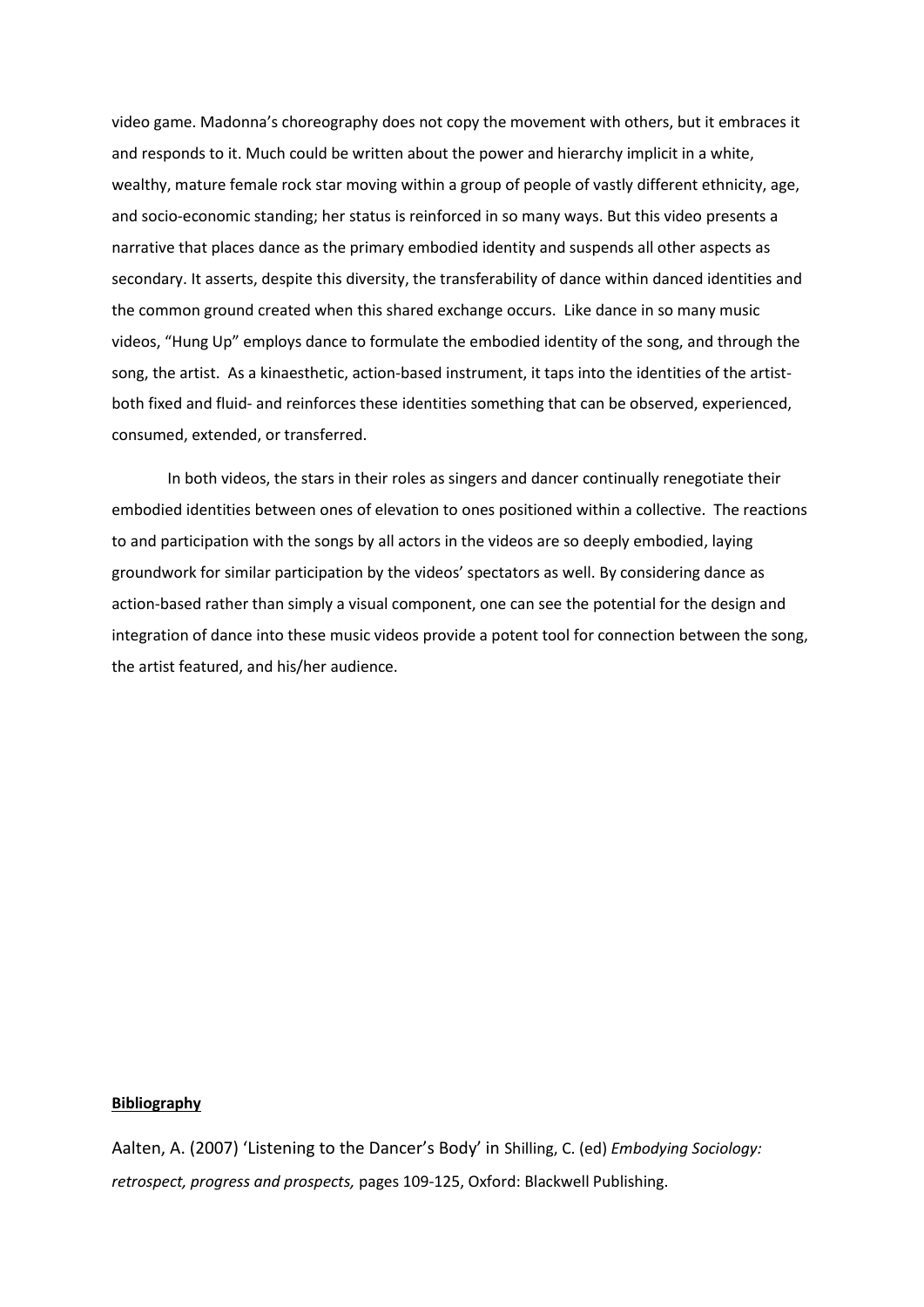video game. Madonna's choreography does not copy the movement with others, but it embraces it and responds to it. Much could be written about the power and hierarchy implicit in a white, wealthy, mature female rock star moving within a group of people of vastly different ethnicity, age, and socio-economic standing; her status is reinforced in so many ways. But this video presents a narrative that places dance as the primary embodied identity and suspends all other aspects as secondary. It asserts, despite this diversity, the transferability of dance within danced identities and the common ground created when this shared exchange occurs. Like dance in so many music videos, "Hung Up" employs dance to formulate the embodied identity of the song, and through the song, the artist. As a kinaesthetic, action-based instrument, it taps into the identities of the artistboth fixed and fluid- and reinforces these identities something that can be observed, experienced, consumed, extended, or transferred.

In both videos, the stars in their roles as singers and dancer continually renegotiate their embodied identities between ones of elevation to ones positioned within a collective. The reactions to and participation with the songs by all actors in the videos are so deeply embodied, laying groundwork for similar participation by the videos' spectators as well. By considering dance as action-based rather than simply a visual component, one can see the potential for the design and integration of dance into these music videos provide a potent tool for connection between the song, the artist featured, and his/her audience.

# **Bibliography**

Aalten, A. (2007) 'Listening to the Dancer's Body' in Shilling, C. (ed) *Embodying Sociology: retrospect, progress and prospects,* pages 109-125, Oxford: Blackwell Publishing.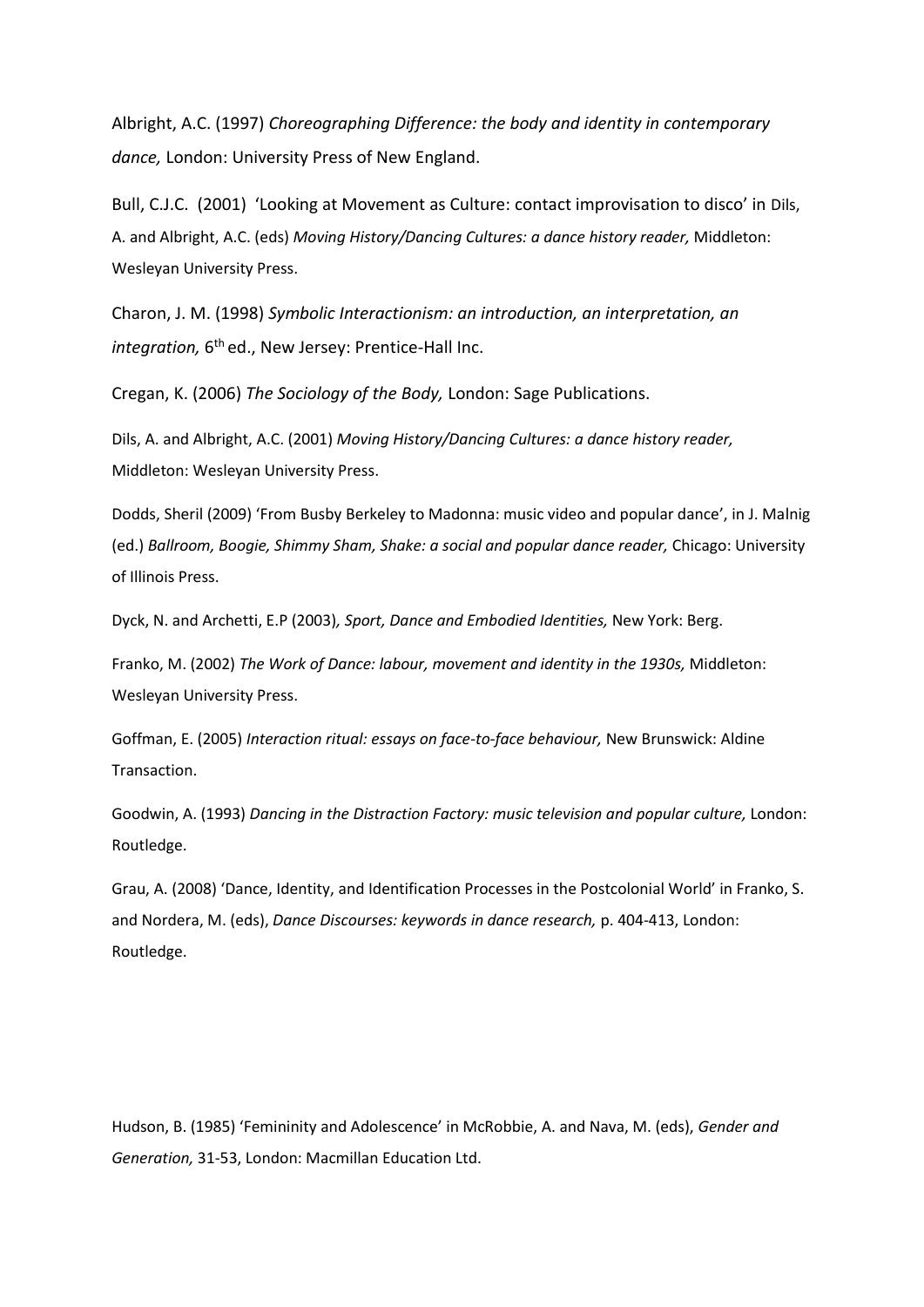Albright, A.C. (1997) *Choreographing Difference: the body and identity in contemporary dance,* London: University Press of New England.

Bull, C.J.C. (2001) 'Looking at Movement as Culture: contact improvisation to disco' in Dils, A. and Albright, A.C. (eds) *Moving History/Dancing Cultures: a dance history reader,* Middleton: Wesleyan University Press.

Charon, J. M. (1998) *Symbolic Interactionism: an introduction, an interpretation, an*  integration, 6<sup>th</sup> ed., New Jersey: Prentice-Hall Inc.

Cregan, K. (2006) *The Sociology of the Body,* London: Sage Publications.

Dils, A. and Albright, A.C. (2001) *Moving History/Dancing Cultures: a dance history reader,*  Middleton: Wesleyan University Press.

Dodds, Sheril (2009) 'From Busby Berkeley to Madonna: music video and popular dance', in J. Malnig (ed.) *Ballroom, Boogie, Shimmy Sham, Shake: a social and popular dance reader,* Chicago: University of Illinois Press.

Dyck, N. and Archetti, E.P (2003)*, Sport, Dance and Embodied Identities,* New York: Berg.

Franko, M. (2002) *The Work of Dance: labour, movement and identity in the 1930s,* Middleton: Wesleyan University Press.

Goffman, E. (2005) *Interaction ritual: essays on face-to-face behaviour,* New Brunswick: Aldine Transaction.

Goodwin, A. (1993) *Dancing in the Distraction Factory: music television and popular culture, London:* Routledge.

Grau, A. (2008) 'Dance, Identity, and Identification Processes in the Postcolonial World' in Franko, S. and Nordera, M. (eds), *Dance Discourses: keywords in dance research,* p. 404-413, London: Routledge.

Hudson, B. (1985) 'Femininity and Adolescence' in McRobbie, A. and Nava, M. (eds), *Gender and Generation,* 31-53, London: Macmillan Education Ltd.